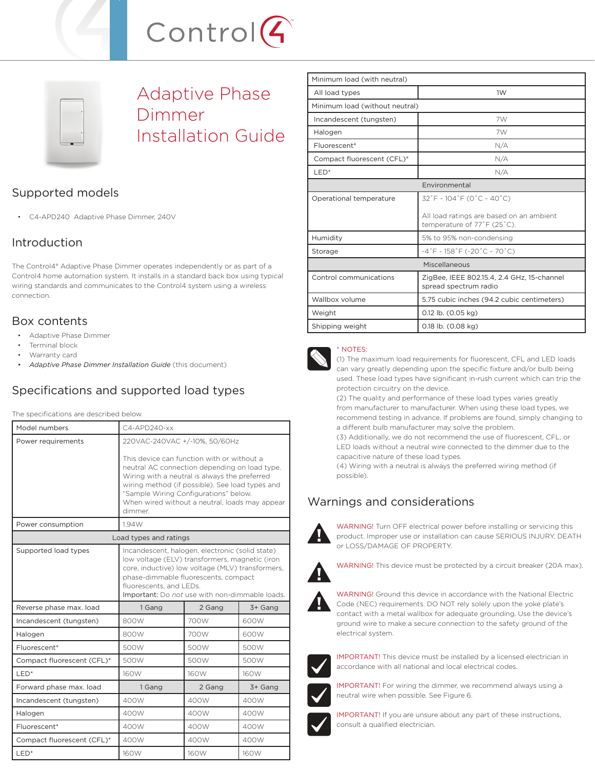



Adaptive Phase Dimmer Installation Guide

# Supported models

• C4-APD240 Adaptive Phase Dimmer, 240V

## Introduction

The Control4® Adaptive Phase Dimmer operates independently or as part of a Control4 home automation system. It installs in a standard back box using typical wiring standards and communicates to the Control4 system using a wireless connection.

### Box contents

- Adaptive Phase Dimmer
- Terminal block
- Warranty card
- *Adaptive Phase Dimmer Installation Guide* (this document)

# Specifications and supported load types

The specifications are described below.

| Model numbers              | $C4 - APD240 - xx$                                                                                                                                                                                                                                                                                    |        |         |
|----------------------------|-------------------------------------------------------------------------------------------------------------------------------------------------------------------------------------------------------------------------------------------------------------------------------------------------------|--------|---------|
| Power requirements         | 220VAC-240VAC +/-10%, 50/60Hz                                                                                                                                                                                                                                                                         |        |         |
|                            | This device can function with or without a<br>neutral AC connection depending on load type.<br>Wiring with a neutral is always the preferred<br>wiring method (if possible). See load types and<br>"Sample Wiring Configurations" below.<br>When wired without a neutral, loads may appear<br>dimmer. |        |         |
| Power consumption          | 1.94W                                                                                                                                                                                                                                                                                                 |        |         |
| Load types and ratings     |                                                                                                                                                                                                                                                                                                       |        |         |
| Supported load types       | Incandescent, halogen, electronic (solid state)<br>low voltage (ELV) transformers, magnetic (iron<br>core, inductive) low voltage (MLV) transformers,<br>phase-dimmable fluorescents, compact<br>fluorescents, and LEDs.<br>Important: Do not use with non-dimmable loads.                            |        |         |
| Reverse phase max. load    | 1 Gang                                                                                                                                                                                                                                                                                                | 2 Gang | 3+ Gang |
| Incandescent (tungsten)    | 800W                                                                                                                                                                                                                                                                                                  | 700W   | 600W    |
| Halogen                    | 800W                                                                                                                                                                                                                                                                                                  | 700W   | 600W    |
| Fluorescent*               | 500W                                                                                                                                                                                                                                                                                                  | 500W   | 500W    |
| Compact fluorescent (CFL)* | 500W                                                                                                                                                                                                                                                                                                  | 500W   | 500W    |
| LED <sup>*</sup>           | 160W                                                                                                                                                                                                                                                                                                  | 160W   | 160W    |
| Forward phase max. load    | 1 Gang                                                                                                                                                                                                                                                                                                | 2 Gang | 3+ Gang |
| Incandescent (tungsten)    | 400W                                                                                                                                                                                                                                                                                                  | 400W   | 400W    |
| Halogen                    | 400W                                                                                                                                                                                                                                                                                                  | 400W   | 400W    |
| Fluorescent*               | 400W                                                                                                                                                                                                                                                                                                  | 400W   | 400W    |
| Compact fluorescent (CFL)* | 400W                                                                                                                                                                                                                                                                                                  | 400W   | 400W    |
| LED <sup>*</sup>           | 160W                                                                                                                                                                                                                                                                                                  | 160W   | 160W    |

| Minimum load (with neutral)    |                                                                         |  |  |
|--------------------------------|-------------------------------------------------------------------------|--|--|
| All load types                 | 1W                                                                      |  |  |
| Minimum load (without neutral) |                                                                         |  |  |
| Incandescent (tungsten)        | 7W                                                                      |  |  |
| Halogen                        | 7W                                                                      |  |  |
| Fluorescent*                   | N/A                                                                     |  |  |
| Compact fluorescent (CFL)*     | N/A                                                                     |  |  |
| $LED*$                         | N/A                                                                     |  |  |
| Environmental                  |                                                                         |  |  |
| Operational temperature        | $32^{\circ}$ F ~ 104 $^{\circ}$ F (0 $^{\circ}$ C ~ 40 $^{\circ}$ C)    |  |  |
|                                | All load ratings are based on an ambient<br>temperature of 77°F (25°C). |  |  |
| Humidity                       | 5% to 95% non-condensing                                                |  |  |
| Storage                        | $-4\degree$ F ~ 158 $\degree$ F (-20 $\degree$ C ~ 70 $\degree$ C)      |  |  |
| Miscellaneous                  |                                                                         |  |  |
| Control communications         | ZigBee, IEEE 802.15.4, 2.4 GHz, 15-channel<br>spread spectrum radio     |  |  |
| Wallbox volume                 | 5.75 cubic inches (94.2 cubic centimeters)                              |  |  |
| Weight                         | 0.12 lb. (0.05 kg)                                                      |  |  |
| Shipping weight                | 0.18 lb. (0.08 kg)                                                      |  |  |



#### \* NOTES:

(1) The maximum load requirements for fluorescent, CFL and LED loads can vary greatly depending upon the specific fixture and/or bulb being used. These load types have significant in-rush current which can trip the protection circuitry on the device.

(2) The quality and performance of these load types varies greatly from manufacturer to manufacturer. When using these load types, we recommend testing in advance. If problems are found, simply changing to a different bulb manufacturer may solve the problem.

(3) Additionally, we do not recommend the use of fluorescent, CFL, or LED loads without a neutral wire connected to the dimmer due to the capacitive nature of these load types.

(4) Wiring with a neutral is always the preferred wiring method (if possible).

## Warnings and considerations



WARNING! Turn OFF electrical power before installing or servicing this product. Improper use or installation can cause SERIOUS INJURY, DEATH or LOSS/DAMAGE OF PROPERTY.



WARNING! This device must be protected by a circuit breaker (20A max).



WARNING! Ground this device in accordance with the National Electric Code (NEC) requirements. DO NOT rely solely upon the yoke plate's contact with a metal wallbox for adequate grounding. Use the device's ground wire to make a secure connection to the safety ground of the electrical system.



IMPORTANT! This device must be installed by a licensed electrician in accordance with all national and local electrical codes.



IMPORTANT! For wiring the dimmer, we recommend always using a neutral wire when possible. See Figure 6.



IMPORTANT! If you are unsure about any part of these instructions, consult a qualified electrician.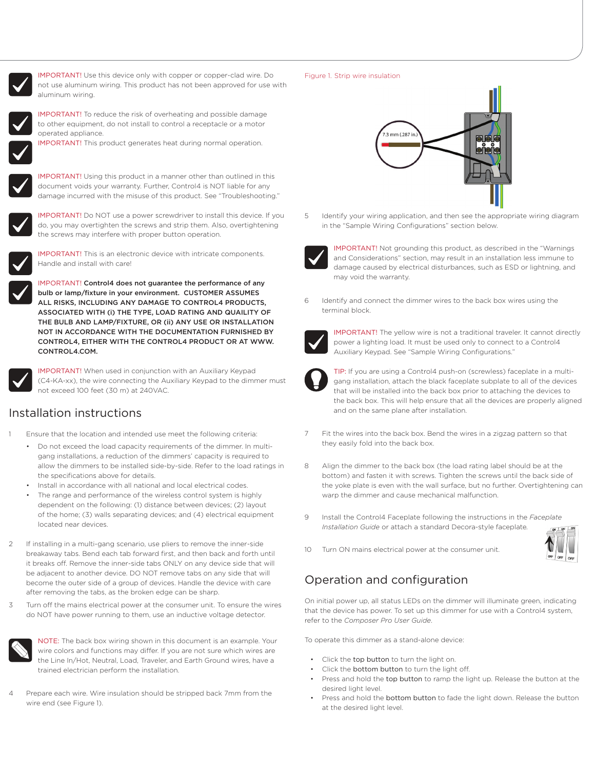

IMPORTANT! Use this device only with copper or copper-clad wire. Do not use aluminum wiring. This product has not been approved for use with aluminum wiring.



IMPORTANT! To reduce the risk of overheating and possible damage to other equipment, do not install to control a receptacle or a motor operated appliance.

IMPORTANT! This product generates heat during normal operation.



IMPORTANT! Using this product in a manner other than outlined in this document voids your warranty. Further, Control4 is NOT liable for any damage incurred with the misuse of this product. See "Troubleshooting."



IMPORTANT! Do NOT use a power screwdriver to install this device. If you do, you may overtighten the screws and strip them. Also, overtightening the screws may interfere with proper button operation.



IMPORTANT! This is an electronic device with intricate components. Handle and install with care!

IMPORTANT! Control4 does not guarantee the performance of any bulb or lamp/fixture in your environment. CUSTOMER ASSUMES ALL RISKS, INCLUDING ANY DAMAGE TO CONTROL4 PRODUCTS, ASSOCIATED WITH (i) THE TYPE, LOAD RATING AND QUAILITY OF THE BULB AND LAMP/FIXTURE, OR (ii) ANY USE OR INSTALLATION NOT IN ACCORDANCE WITH THE DOCUMENTATION FURNISHED BY CONTROL4, EITHER WITH THE CONTROL4 PRODUCT OR AT WWW. CONTROL4.COM.



IMPORTANT! When used in conjunction with an Auxiliary Keypad (C4-KA-xx), the wire connecting the Auxiliary Keypad to the dimmer must not exceed 100 feet (30 m) at 240VAC.

### Installation instructions

- Ensure that the location and intended use meet the following criteria:
	- Do not exceed the load capacity requirements of the dimmer. In multigang installations, a reduction of the dimmers' capacity is required to allow the dimmers to be installed side-by-side. Refer to the load ratings in the specifications above for details.
	- Install in accordance with all national and local electrical codes.
	- The range and performance of the wireless control system is highly dependent on the following: (1) distance between devices; (2) layout of the home; (3) walls separating devices; and (4) electrical equipment located near devices.
- If installing in a multi-gang scenario, use pliers to remove the inner-side breakaway tabs. Bend each tab forward first, and then back and forth until it breaks off. Remove the inner-side tabs ONLY on any device side that will be adjacent to another device. DO NOT remove tabs on any side that will become the outer side of a group of devices. Handle the device with care after removing the tabs, as the broken edge can be sharp.
- 3 Turn off the mains electrical power at the consumer unit. To ensure the wires do NOT have power running to them, use an inductive voltage detector.



NOTE: The back box wiring shown in this document is an example. Your wire colors and functions may differ. If you are not sure which wires are the Line In/Hot, Neutral, Load, Traveler, and Earth Ground wires, have a trained electrician perform the installation.

Prepare each wire. Wire insulation should be stripped back 7mm from the wire end (see Figure 1).

#### Figure 1. Strip wire insulation



5 Identify your wiring application, and then see the appropriate wiring diagram in the "Sample Wiring Configurations" section below.



IMPORTANT! Not grounding this product, as described in the "Warnings and Considerations" section, may result in an installation less immune to damage caused by electrical disturbances, such as ESD or lightning, and may void the warranty.

Identify and connect the dimmer wires to the back box wires using the terminal block.



IMPORTANT! The yellow wire is not a traditional traveler. It cannot directly power a lighting load. It must be used only to connect to a Control4 Auxiliary Keypad. See "Sample Wiring Configurations."



TIP: If you are using a Control4 push-on (screwless) faceplate in a multigang installation, attach the black faceplate subplate to all of the devices that will be installed into the back box prior to attaching the devices to the back box. This will help ensure that all the devices are properly aligned and on the same plane after installation.

- 7 Fit the wires into the back box. Bend the wires in a zigzag pattern so that they easily fold into the back box.
- 8 Align the dimmer to the back box (the load rating label should be at the bottom) and fasten it with screws. Tighten the screws until the back side of the yoke plate is even with the wall surface, but no further. Overtightening can warp the dimmer and cause mechanical malfunction.
- 9 Install the Control4 Faceplate following the instructions in the *Faceplate Installation Guide* or attach a standard Decora-style faceplate*.*



10 Turn ON mains electrical power at the consumer unit.

# Operation and configuration

On initial power up, all status LEDs on the dimmer will illuminate green, indicating that the device has power. To set up this dimmer for use with a Control4 system, refer to the *Composer Pro User Guide*.

To operate this dimmer as a stand-alone device:

- Click the top button to turn the light on.
- Click the bottom button to turn the light off.
- Press and hold the top button to ramp the light up. Release the button at the desired light level.
- Press and hold the bottom button to fade the light down. Release the button at the desired light level.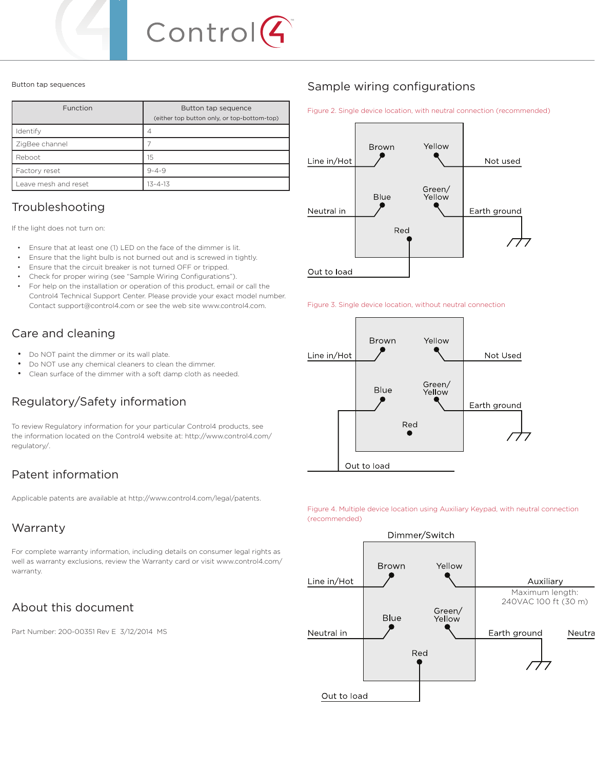

#### Button tap sequences

| Function             | Button tap sequence<br>(either top button only, or top-bottom-top) |
|----------------------|--------------------------------------------------------------------|
| Identify             |                                                                    |
| ZigBee channel       |                                                                    |
| Reboot               | 15                                                                 |
| Factory reset        | $9 - 4 - 9$                                                        |
| Leave mesh and reset | $13 - 4 - 13$                                                      |

## Troubleshooting

If the light does not turn on:

- Ensure that at least one (1) LED on the face of the dimmer is lit.
- Ensure that the light bulb is not burned out and is screwed in tightly.
- Ensure that the circuit breaker is not turned OFF or tripped.
- Check for proper wiring (see "Sample Wiring Configurations").
- For help on the installation or operation of this product, email or call the Control4 Technical Support Center. Please provide your exact model number. Contact support@control4.com or see the web site www.control4.com.

## Care and cleaning

- Do NOT paint the dimmer or its wall plate.
- Do NOT use any chemical cleaners to clean the dimmer.
- Clean surface of the dimmer with a soft damp cloth as needed.

# Regulatory/Safety information

To review Regulatory information for your particular Control4 products, see the information located on the Control4 website at: http://www.control4.com/ regulatory/.

## Patent information

Applicable patents are available at http://www.control4.com/legal/patents.

## Warranty

For complete warranty information, including details on consumer legal rights as well as warranty exclusions, review the Warranty card or visit www.control4.com/ warranty.

# About this document

Part Number: 200-00351 Rev E 3/12/2014 MS

## Sample wiring configurations

Figure 2. Single device location, with neutral connection (recommended)







Figure 4. Multiple device location using Auxiliary Keypad, with neutral connection (recommended)